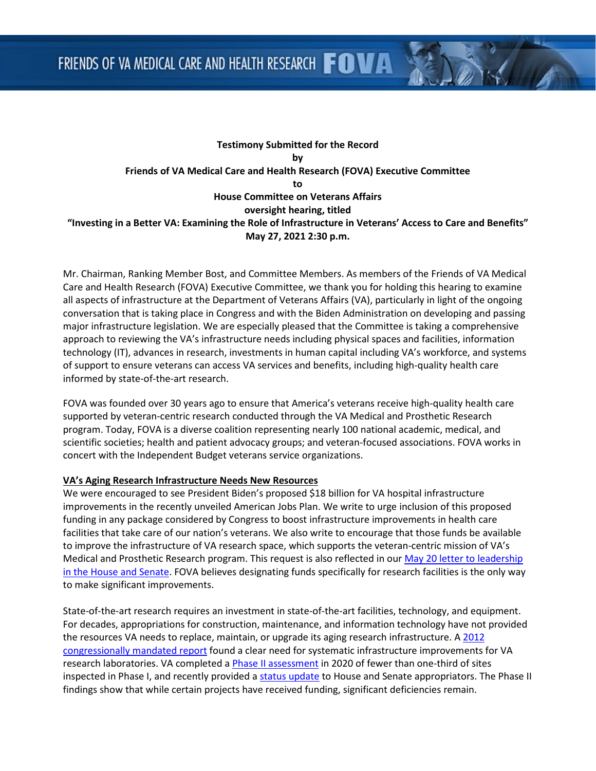# **Testimony Submitted for the Record by Friends of VA Medical Care and Health Research (FOVA) Executive Committee to House Committee on Veterans Affairs oversight hearing, titled "Investing in a Better VA: Examining the Role of Infrastructure in Veterans' Access to Care and Benefits" May 27, 2021 2:30 p.m.**

Mr. Chairman, Ranking Member Bost, and Committee Members. As members of the Friends of VA Medical Care and Health Research (FOVA) Executive Committee, we thank you for holding this hearing to examine all aspects of infrastructure at the Department of Veterans Affairs (VA), particularly in light of the ongoing conversation that is taking place in Congress and with the Biden Administration on developing and passing major infrastructure legislation. We are especially pleased that the Committee is taking a comprehensive approach to reviewing the VA's infrastructure needs including physical spaces and facilities, information technology (IT), advances in research, investments in human capital including VA's workforce, and systems of support to ensure veterans can access VA services and benefits, including high-quality health care informed by state-of-the-art research.

FOVA was founded over 30 years ago to ensure that America's veterans receive high-quality health care supported by veteran-centric research conducted through the VA Medical and Prosthetic Research program. Today, FOVA is a diverse coalition representing nearly 100 national academic, medical, and scientific societies; health and patient advocacy groups; and veteran-focused associations. FOVA works in concert with the Independent Budget veterans service organizations.

### **VA's Aging Research Infrastructure Needs New Resources**

We were encouraged to see President Biden's proposed \$18 billion for VA hospital infrastructure improvements in the recently unveiled American Jobs Plan. We write to urge inclusion of this proposed funding in any package considered by Congress to boost infrastructure improvements in health care facilities that take care of our nation's veterans. We also write to encourage that those funds be available to improve the infrastructure of VA research space, which supports the veteran-centric mission of VA's Medical and Prosthetic Research program. This request is also reflected in our May 20 letter to leadership [in the House and Senate.](http://www.friendsofva.org/resources/2021/05.20.21Letter.pdf) FOVA believes designating funds specifically for research facilities is the only way to make significant improvements.

State-of-the-art research requires an investment in state-of-the-art facilities, technology, and equipment. For decades, appropriations for construction, maintenance, and information technology have not provided the resources VA needs to replace, maintain, or upgrade its aging research infrastructure. A 2012 [congressionally mandated report](http://www.friendsofva.org/resources/2012/finalvainfrastructurereport.pdf) found a clear need for systematic infrastructure improvements for VA research laboratories. VA completed [a Phase II assessment](http://www.friendsofva.org/resources/2021/05.19.21IP2R.pdf) in 2020 of fewer than one-third of sites inspected in Phase I, and recently provided a [status update](http://www.friendsofva.org/resources/2021/05.25.21Report.pdf) to House and Senate appropriators. The Phase II findings show that while certain projects have received funding, significant deficiencies remain.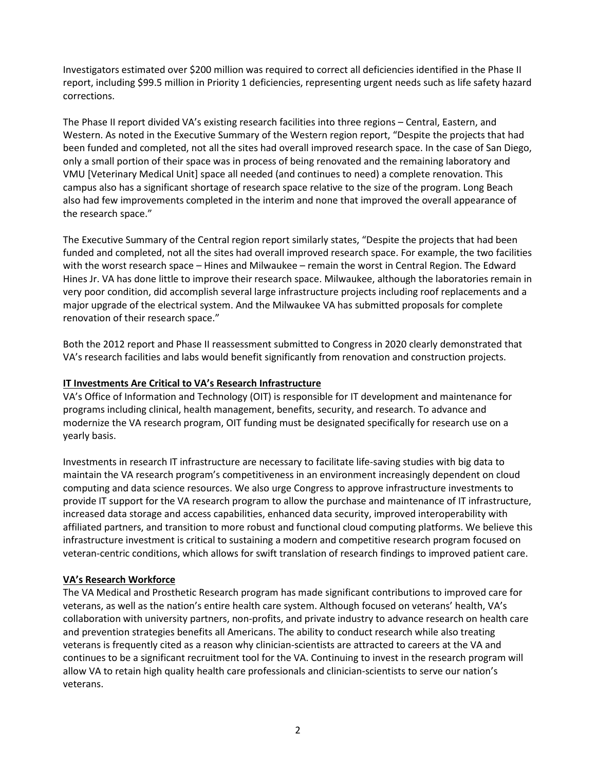Investigators estimated over \$200 million was required to correct all deficiencies identified in the Phase II report, including \$99.5 million in Priority 1 deficiencies, representing urgent needs such as life safety hazard corrections.

The Phase II report divided VA's existing research facilities into three regions – Central, Eastern, and Western. As noted in the Executive Summary of the Western region report, "Despite the projects that had been funded and completed, not all the sites had overall improved research space. In the case of San Diego, only a small portion of their space was in process of being renovated and the remaining laboratory and VMU [Veterinary Medical Unit] space all needed (and continues to need) a complete renovation. This campus also has a significant shortage of research space relative to the size of the program. Long Beach also had few improvements completed in the interim and none that improved the overall appearance of the research space."

The Executive Summary of the Central region report similarly states, "Despite the projects that had been funded and completed, not all the sites had overall improved research space. For example, the two facilities with the worst research space – Hines and Milwaukee – remain the worst in Central Region. The Edward Hines Jr. VA has done little to improve their research space. Milwaukee, although the laboratories remain in very poor condition, did accomplish several large infrastructure projects including roof replacements and a major upgrade of the electrical system. And the Milwaukee VA has submitted proposals for complete renovation of their research space."

Both the 2012 report and Phase II reassessment submitted to Congress in 2020 clearly demonstrated that VA's research facilities and labs would benefit significantly from renovation and construction projects.

## **IT Investments Are Critical to VA's Research Infrastructure**

VA's Office of Information and Technology (OIT) is responsible for IT development and maintenance for programs including clinical, health management, benefits, security, and research. To advance and modernize the VA research program, OIT funding must be designated specifically for research use on a yearly basis.

Investments in research IT infrastructure are necessary to facilitate life-saving studies with big data to maintain the VA research program's competitiveness in an environment increasingly dependent on cloud computing and data science resources. We also urge Congress to approve infrastructure investments to provide IT support for the VA research program to allow the purchase and maintenance of IT infrastructure, increased data storage and access capabilities, enhanced data security, improved interoperability with affiliated partners, and transition to more robust and functional cloud computing platforms. We believe this infrastructure investment is critical to sustaining a modern and competitive research program focused on veteran-centric conditions, which allows for swift translation of research findings to improved patient care.

### **VA's Research Workforce**

The VA Medical and Prosthetic Research program has made significant contributions to improved care for veterans, as well as the nation's entire health care system. Although focused on veterans' health, VA's collaboration with university partners, non-profits, and private industry to advance research on health care and prevention strategies benefits all Americans. The ability to conduct research while also treating veterans is frequently cited as a reason why clinician-scientists are attracted to careers at the VA and continues to be a significant recruitment tool for the VA. Continuing to invest in the research program will allow VA to retain high quality health care professionals and clinician-scientists to serve our nation's veterans.